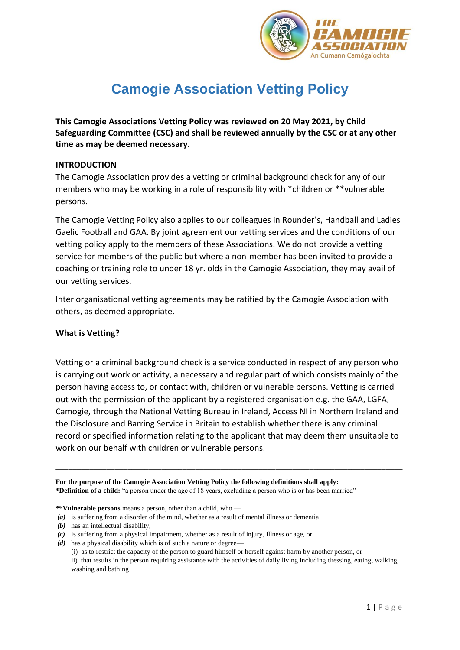

# **Camogie Association Vetting Policy**

**This Camogie Associations Vetting Policy was reviewed on 20 May 2021, by Child Safeguarding Committee (CSC) and shall be reviewed annually by the CSC or at any other time as may be deemed necessary.**

#### **INTRODUCTION**

The Camogie Association provides a vetting or criminal background check for any of our members who may be working in a role of responsibility with \*children or \*\*vulnerable persons.

The Camogie Vetting Policy also applies to our colleagues in Rounder's, Handball and Ladies Gaelic Football and GAA. By joint agreement our vetting services and the conditions of our vetting policy apply to the members of these Associations. We do not provide a vetting service for members of the public but where a non-member has been invited to provide a coaching or training role to under 18 yr. olds in the Camogie Association, they may avail of our vetting services.

Inter organisational vetting agreements may be ratified by the Camogie Association with others, as deemed appropriate.

#### **What is Vetting?**

Vetting or a criminal background check is a service conducted in respect of any person who is carrying out work or activity, a necessary and regular part of which consists mainly of the person having access to, or contact with, children or vulnerable persons. Vetting is carried out with the permission of the applicant by a registered organisation e.g. the GAA, LGFA, Camogie, through the National Vetting Bureau in Ireland, Access NI in Northern Ireland and the Disclosure and Barring Service in Britain to establish whether there is any criminal record or specified information relating to the applicant that may deem them unsuitable to work on our behalf with children or vulnerable persons.

\_\_\_\_\_\_\_\_\_\_\_\_\_\_\_\_\_\_\_\_\_\_\_\_\_\_\_\_\_\_\_\_\_\_\_\_\_\_\_\_\_\_\_\_\_\_\_\_\_\_\_\_\_\_\_\_\_\_\_\_\_\_\_\_\_\_\_\_\_\_\_\_\_\_\_\_\_\_\_\_\_\_

**For the purpose of the Camogie Association Vetting Policy the following definitions shall apply: \*Definition of a child:** "a person under the age of 18 years, excluding a person who is or has been married"

*(d)* has a physical disability which is of such a nature or degree—

**<sup>\*\*</sup>Vulnerable persons** means a person, other than a child, who —

*<sup>(</sup>a)* is suffering from a disorder of the mind, whether as a result of mental illness or dementia

*<sup>(</sup>b)* has an intellectual disability,

*<sup>(</sup>c)* is suffering from a physical impairment, whether as a result of injury, illness or age, or

<sup>(</sup>i) as to restrict the capacity of the person to guard himself or herself against harm by another person, or ii) that results in the person requiring assistance with the activities of daily living including dressing, eating, walking, washing and bathing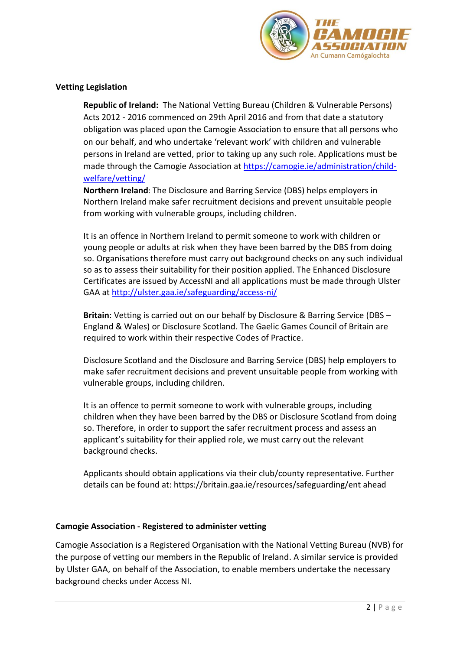

# **Vetting Legislation**

**Republic of Ireland:** The National Vetting Bureau (Children & Vulnerable Persons) Acts 2012 - 2016 commenced on 29th April 2016 and from that date a statutory obligation was placed upon the Camogie Association to ensure that all persons who on our behalf, and who undertake 'relevant work' with children and vulnerable persons in Ireland are vetted, prior to taking up any such role. Applications must be made through the Camogie Association at [https://camogie.ie/administration/child](https://camogie.ie/administration/child-welfare/vetting/)[welfare/vetting/](https://camogie.ie/administration/child-welfare/vetting/)

**Northern Ireland**: The Disclosure and Barring Service (DBS) helps employers in Northern Ireland make safer recruitment decisions and prevent unsuitable people from working with vulnerable groups, including children.

It is an offence in Northern Ireland to permit someone to work with children or young people or adults at risk when they have been barred by the DBS from doing so. Organisations therefore must carry out background checks on any such individual so as to assess their suitability for their position applied. The Enhanced Disclosure Certificates are issued by AccessNI and all applications must be made through Ulster GAA a[t http://ulster.gaa.ie/safeguarding/access-ni/](http://ulster.gaa.ie/safeguarding/access-ni/)

**Britain**: Vetting is carried out on our behalf by Disclosure & Barring Service (DBS – England & Wales) or Disclosure Scotland. The Gaelic Games Council of Britain are required to work within their respective Codes of Practice.

Disclosure Scotland and the Disclosure and Barring Service (DBS) help employers to make safer recruitment decisions and prevent unsuitable people from working with vulnerable groups, including children.

It is an offence to permit someone to work with vulnerable groups, including children when they have been barred by the DBS or Disclosure Scotland from doing so. Therefore, in order to support the safer recruitment process and assess an applicant's suitability for their applied role, we must carry out the relevant background checks.

Applicants should obtain applications via their club/county representative. Further details can be found at: https://britain.gaa.ie/resources/safeguarding/ent ahead

#### **Camogie Association - Registered to administer vetting**

Camogie Association is a Registered Organisation with the National Vetting Bureau (NVB) for the purpose of vetting our members in the Republic of Ireland. A similar service is provided by Ulster GAA, on behalf of the Association, to enable members undertake the necessary background checks under Access NI.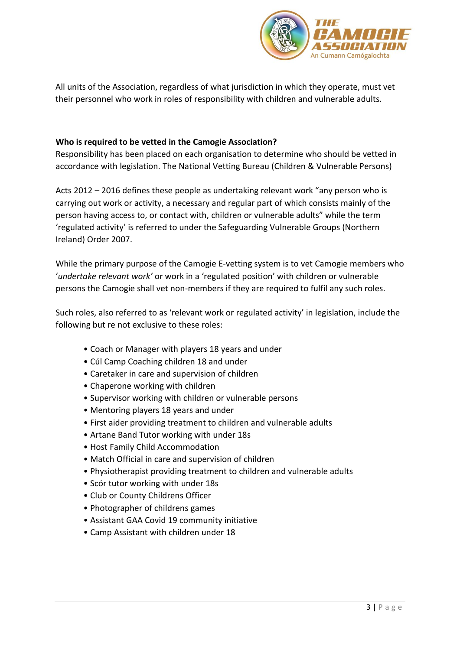

All units of the Association, regardless of what jurisdiction in which they operate, must vet their personnel who work in roles of responsibility with children and vulnerable adults.

# **Who is required to be vetted in the Camogie Association?**

Responsibility has been placed on each organisation to determine who should be vetted in accordance with legislation. The National Vetting Bureau (Children & Vulnerable Persons)

Acts 2012 – 2016 defines these people as undertaking relevant work "any person who is carrying out work or activity, a necessary and regular part of which consists mainly of the person having access to, or contact with, children or vulnerable adults" while the term 'regulated activity' is referred to under the Safeguarding Vulnerable Groups (Northern Ireland) Order 2007.

While the primary purpose of the Camogie E-vetting system is to vet Camogie members who '*undertake relevant work'* or work in a 'regulated position' with children or vulnerable persons the Camogie shall vet non-members if they are required to fulfil any such roles.

Such roles, also referred to as 'relevant work or regulated activity' in legislation, include the following but re not exclusive to these roles:

- Coach or Manager with players 18 years and under
- Cúl Camp Coaching children 18 and under
- Caretaker in care and supervision of children
- Chaperone working with children
- Supervisor working with children or vulnerable persons
- Mentoring players 18 years and under
- First aider providing treatment to children and vulnerable adults
- Artane Band Tutor working with under 18s
- Host Family Child Accommodation
- Match Official in care and supervision of children
- Physiotherapist providing treatment to children and vulnerable adults
- Scór tutor working with under 18s
- Club or County Childrens Officer
- Photographer of childrens games
- Assistant GAA Covid 19 community initiative
- Camp Assistant with children under 18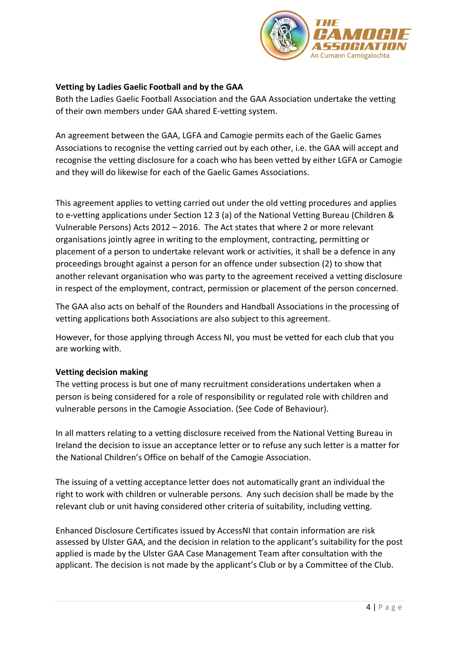

# **Vetting by Ladies Gaelic Football and by the GAA**

Both the Ladies Gaelic Football Association and the GAA Association undertake the vetting of their own members under GAA shared E-vetting system.

An agreement between the GAA, LGFA and Camogie permits each of the Gaelic Games Associations to recognise the vetting carried out by each other, i.e. the GAA will accept and recognise the vetting disclosure for a coach who has been vetted by either LGFA or Camogie and they will do likewise for each of the Gaelic Games Associations.

This agreement applies to vetting carried out under the old vetting procedures and applies to e-vetting applications under Section 12 3 (a) of the National Vetting Bureau (Children & Vulnerable Persons) Acts 2012 – 2016. The Act states that where 2 or more relevant organisations jointly agree in writing to the employment, contracting, permitting or placement of a person to undertake relevant work or activities, it shall be a defence in any proceedings brought against a person for an offence under subsection (2) to show that another relevant organisation who was party to the agreement received a vetting disclosure in respect of the employment, contract, permission or placement of the person concerned.

The GAA also acts on behalf of the Rounders and Handball Associations in the processing of vetting applications both Associations are also subject to this agreement.

However, for those applying through Access NI, you must be vetted for each club that you are working with.

# **Vetting decision making**

The vetting process is but one of many recruitment considerations undertaken when a person is being considered for a role of responsibility or regulated role with children and vulnerable persons in the Camogie Association. (See Code of Behaviour).

In all matters relating to a vetting disclosure received from the National Vetting Bureau in Ireland the decision to issue an acceptance letter or to refuse any such letter is a matter for the National Children's Office on behalf of the Camogie Association.

The issuing of a vetting acceptance letter does not automatically grant an individual the right to work with children or vulnerable persons. Any such decision shall be made by the relevant club or unit having considered other criteria of suitability, including vetting.

Enhanced Disclosure Certificates issued by AccessNI that contain information are risk assessed by Ulster GAA, and the decision in relation to the applicant's suitability for the post applied is made by the Ulster GAA Case Management Team after consultation with the applicant. The decision is not made by the applicant's Club or by a Committee of the Club.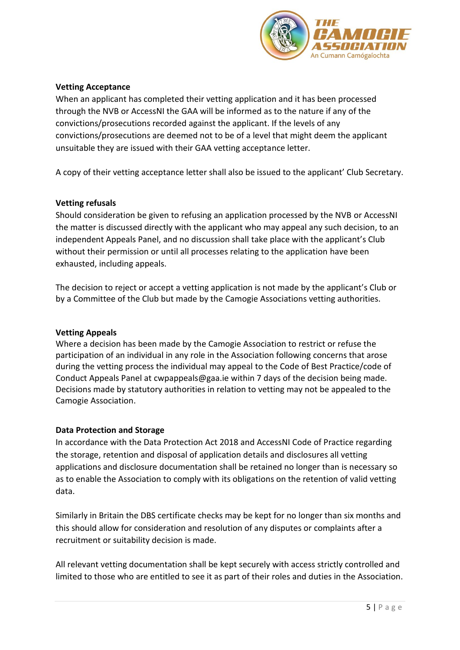

# **Vetting Acceptance**

When an applicant has completed their vetting application and it has been processed through the NVB or AccessNI the GAA will be informed as to the nature if any of the convictions/prosecutions recorded against the applicant. If the levels of any convictions/prosecutions are deemed not to be of a level that might deem the applicant unsuitable they are issued with their GAA vetting acceptance letter.

A copy of their vetting acceptance letter shall also be issued to the applicant' Club Secretary.

#### **Vetting refusals**

Should consideration be given to refusing an application processed by the NVB or AccessNI the matter is discussed directly with the applicant who may appeal any such decision, to an independent Appeals Panel, and no discussion shall take place with the applicant's Club without their permission or until all processes relating to the application have been exhausted, including appeals.

The decision to reject or accept a vetting application is not made by the applicant's Club or by a Committee of the Club but made by the Camogie Associations vetting authorities.

#### **Vetting Appeals**

Where a decision has been made by the Camogie Association to restrict or refuse the participation of an individual in any role in the Association following concerns that arose during the vetting process the individual may appeal to the Code of Best Practice/code of Conduct Appeals Panel at [cwpappeals@gaa.ie](mailto:cwpappeals@gaa.ie) within 7 days of the decision being made. Decisions made by statutory authorities in relation to vetting may not be appealed to the Camogie Association.

#### **Data Protection and Storage**

In accordance with the Data Protection Act 2018 and AccessNI Code of Practice regarding the storage, retention and disposal of application details and disclosures all vetting applications and disclosure documentation shall be retained no longer than is necessary so as to enable the Association to comply with its obligations on the retention of valid vetting data.

Similarly in Britain the DBS certificate checks may be kept for no longer than six months and this should allow for consideration and resolution of any disputes or complaints after a recruitment or suitability decision is made.

All relevant vetting documentation shall be kept securely with access strictly controlled and limited to those who are entitled to see it as part of their roles and duties in the Association.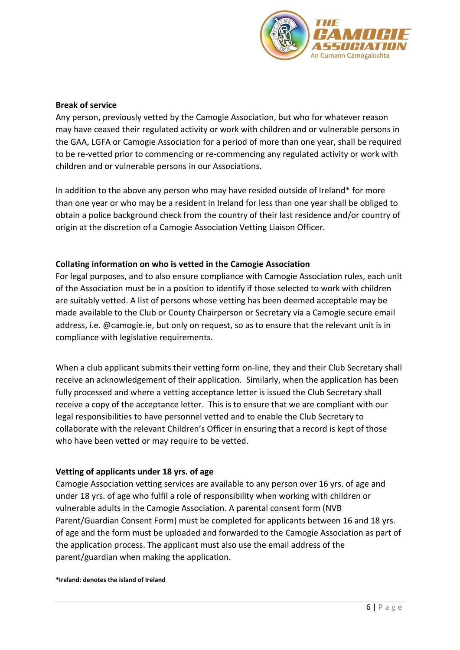

#### **Break of service**

Any person, previously vetted by the Camogie Association, but who for whatever reason may have ceased their regulated activity or work with children and or vulnerable persons in the GAA, LGFA or Camogie Association for a period of more than one year, shall be required to be re-vetted prior to commencing or re-commencing any regulated activity or work with children and or vulnerable persons in our Associations.

In addition to the above any person who may have resided outside of Ireland\* for more than one year or who may be a resident in Ireland for less than one year shall be obliged to obtain a police background check from the country of their last residence and/or country of origin at the discretion of a Camogie Association Vetting Liaison Officer.

#### **Collating information on who is vetted in the Camogie Association**

For legal purposes, and to also ensure compliance with Camogie Association rules, each unit of the Association must be in a position to identify if those selected to work with children are suitably vetted. A list of persons whose vetting has been deemed acceptable may be made available to the Club or County Chairperson or Secretary via a Camogie secure email address, i.e. @camogie.ie, but only on request, so as to ensure that the relevant unit is in compliance with legislative requirements.

When a club applicant submits their vetting form on-line, they and their Club Secretary shall receive an acknowledgement of their application. Similarly, when the application has been fully processed and where a vetting acceptance letter is issued the Club Secretary shall receive a copy of the acceptance letter. This is to ensure that we are compliant with our legal responsibilities to have personnel vetted and to enable the Club Secretary to collaborate with the relevant Children's Officer in ensuring that a record is kept of those who have been vetted or may require to be vetted.

#### **Vetting of applicants under 18 yrs. of age**

Camogie Association vetting services are available to any person over 16 yrs. of age and under 18 yrs. of age who fulfil a role of responsibility when working with children or vulnerable adults in the Camogie Association. A parental consent form [\(NVB](http://www.gaa.ie/mm/Document/TheGAA/ChildProtectionandWelfare/12/73/47/3NVB3ParentGuardianConsentForm_Neutral.pdf)  [Parent/Guardian Consent Form\)](http://www.gaa.ie/mm/Document/TheGAA/ChildProtectionandWelfare/12/73/47/3NVB3ParentGuardianConsentForm_Neutral.pdf) must be completed for applicants between 16 and 18 yrs. of age and the form must be uploaded and forwarded to the Camogie Association as part of the application process. The applicant must also use the email address of the parent/guardian when making the application.

#### **\*Ireland: denotes the island of Ireland**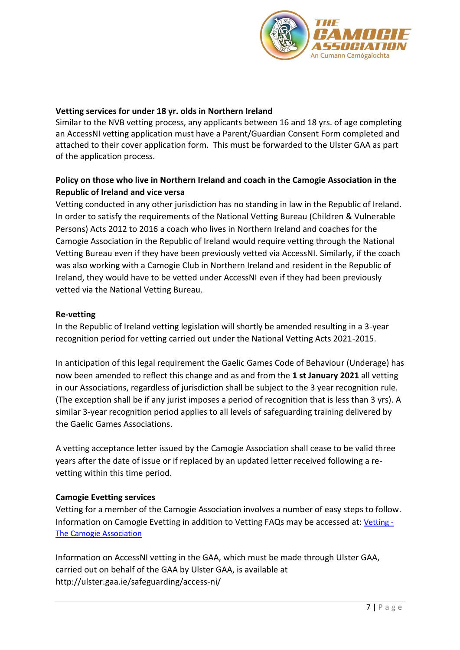

### **Vetting services for under 18 yr. olds in Northern Ireland**

Similar to the NVB vetting process, any applicants between 16 and 18 yrs. of age completing an AccessNI vetting application must have a Parent/Guardian Consent Form completed and attached to their cover application form. This must be forwarded to the Ulster GAA as part of the application process.

# **Policy on those who live in Northern Ireland and coach in the Camogie Association in the Republic of Ireland and vice versa**

Vetting conducted in any other jurisdiction has no standing in law in the Republic of Ireland. In order to satisfy the requirements of the National Vetting Bureau (Children & Vulnerable Persons) Acts 2012 to 2016 a coach who lives in Northern Ireland and coaches for the Camogie Association in the Republic of Ireland would require vetting through the National Vetting Bureau even if they have been previously vetted via AccessNI. Similarly, if the coach was also working with a Camogie Club in Northern Ireland and resident in the Republic of Ireland, they would have to be vetted under AccessNI even if they had been previously vetted via the National Vetting Bureau.

#### **Re-vetting**

In the Republic of Ireland vetting legislation will shortly be amended resulting in a 3-year recognition period for vetting carried out under the National Vetting Acts 2021-2015.

In anticipation of this legal requirement the Gaelic Games Code of Behaviour (Underage) has now been amended to reflect this change and as and from the **1 st January 2021** all vetting in our Associations, regardless of jurisdiction shall be subject to the 3 year recognition rule. (The exception shall be if any jurist imposes a period of recognition that is less than 3 yrs). A similar 3-year recognition period applies to all levels of safeguarding training delivered by the Gaelic Games Associations.

A vetting acceptance letter issued by the Camogie Association shall cease to be valid three years after the date of issue or if replaced by an updated letter received following a revetting within this time period.

#### **Camogie Evetting services**

Vetting for a member of the Camogie Association involves a number of easy steps to follow. Information on Camogie Evetting in addition to Vetting FAQs may be accessed at: [Vetting -](https://camogie.ie/administration/child-welfare/vetting/) [The Camogie Association](https://camogie.ie/administration/child-welfare/vetting/)

Information on AccessNI vetting in the GAA, which must be made through Ulster GAA, carried out on behalf of the GAA by Ulster GAA, is available at <http://ulster.gaa.ie/safeguarding/access-ni/>